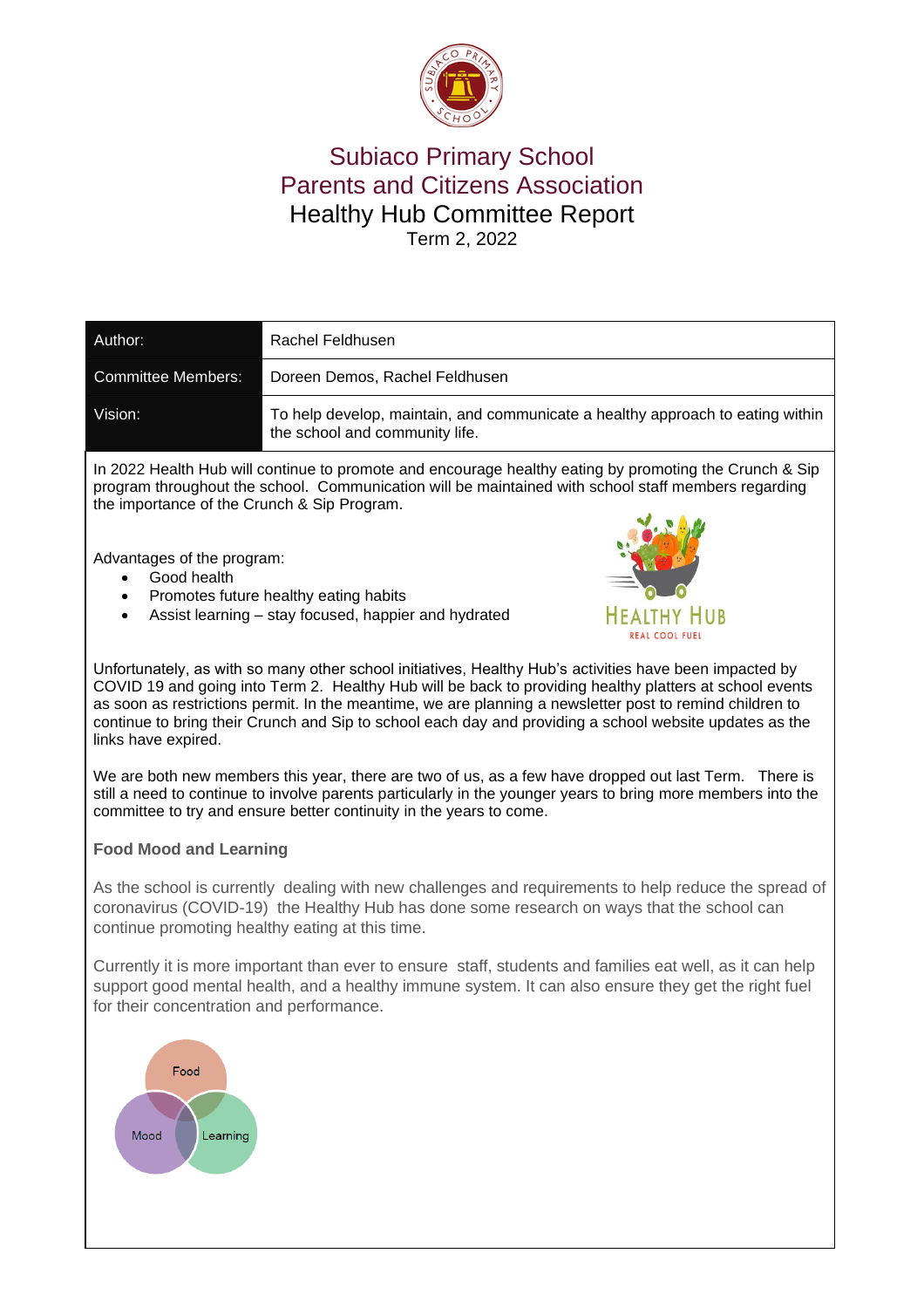

# Subiaco Primary School Parents and Citizens Association Healthy Hub Committee Report

Term 2, 2022

| Author:                                                                                                                                                                                                                                                                                                                                                                                                                                                          | Rachel Feldhusen                                                                                                 |                                             |
|------------------------------------------------------------------------------------------------------------------------------------------------------------------------------------------------------------------------------------------------------------------------------------------------------------------------------------------------------------------------------------------------------------------------------------------------------------------|------------------------------------------------------------------------------------------------------------------|---------------------------------------------|
| <b>Committee Members:</b>                                                                                                                                                                                                                                                                                                                                                                                                                                        | Doreen Demos, Rachel Feldhusen                                                                                   |                                             |
| Vision:                                                                                                                                                                                                                                                                                                                                                                                                                                                          | To help develop, maintain, and communicate a healthy approach to eating within<br>the school and community life. |                                             |
| In 2022 Health Hub will continue to promote and encourage healthy eating by promoting the Crunch & Sip<br>program throughout the school. Communication will be maintained with school staff members regarding<br>the importance of the Crunch & Sip Program.                                                                                                                                                                                                     |                                                                                                                  |                                             |
| Advantages of the program:<br>Good health<br>$\bullet$<br>٠<br>$\bullet$                                                                                                                                                                                                                                                                                                                                                                                         | Promotes future healthy eating habits<br>Assist learning - stay focused, happier and hydrated                    | <b>HEALTHY HUB</b><br><b>REAL COOL FUEL</b> |
| Unfortunately, as with so many other school initiatives, Healthy Hub's activities have been impacted by<br>COVID 19 and going into Term 2. Healthy Hub will be back to providing healthy platters at school events<br>as soon as restrictions permit. In the meantime, we are planning a newsletter post to remind children to<br>continue to bring their Crunch and Sip to school each day and providing a school website updates as the<br>links have expired. |                                                                                                                  |                                             |
| We are both new members this year, there are two of us, as a few have dropped out last Term. There is<br>still a need to continue to involve parents particularly in the younger years to bring more members into the<br>committee to try and ensure better continuity in the years to come.                                                                                                                                                                     |                                                                                                                  |                                             |
| <b>Food Mood and Learning</b>                                                                                                                                                                                                                                                                                                                                                                                                                                    |                                                                                                                  |                                             |
| As the school is currently dealing with new challenges and requirements to help reduce the spread of<br>coronavirus (COVID-19) the Healthy Hub has done some research on ways that the school can<br>continue promoting healthy eating at this time.                                                                                                                                                                                                             |                                                                                                                  |                                             |
| Currently it is more important than ever to ensure staff, students and families eat well, as it can help<br>support good mental health, and a healthy immune system. It can also ensure they get the right fuel<br>for their concentration and performance.                                                                                                                                                                                                      |                                                                                                                  |                                             |
| Food<br>Mood<br>Learning                                                                                                                                                                                                                                                                                                                                                                                                                                         |                                                                                                                  |                                             |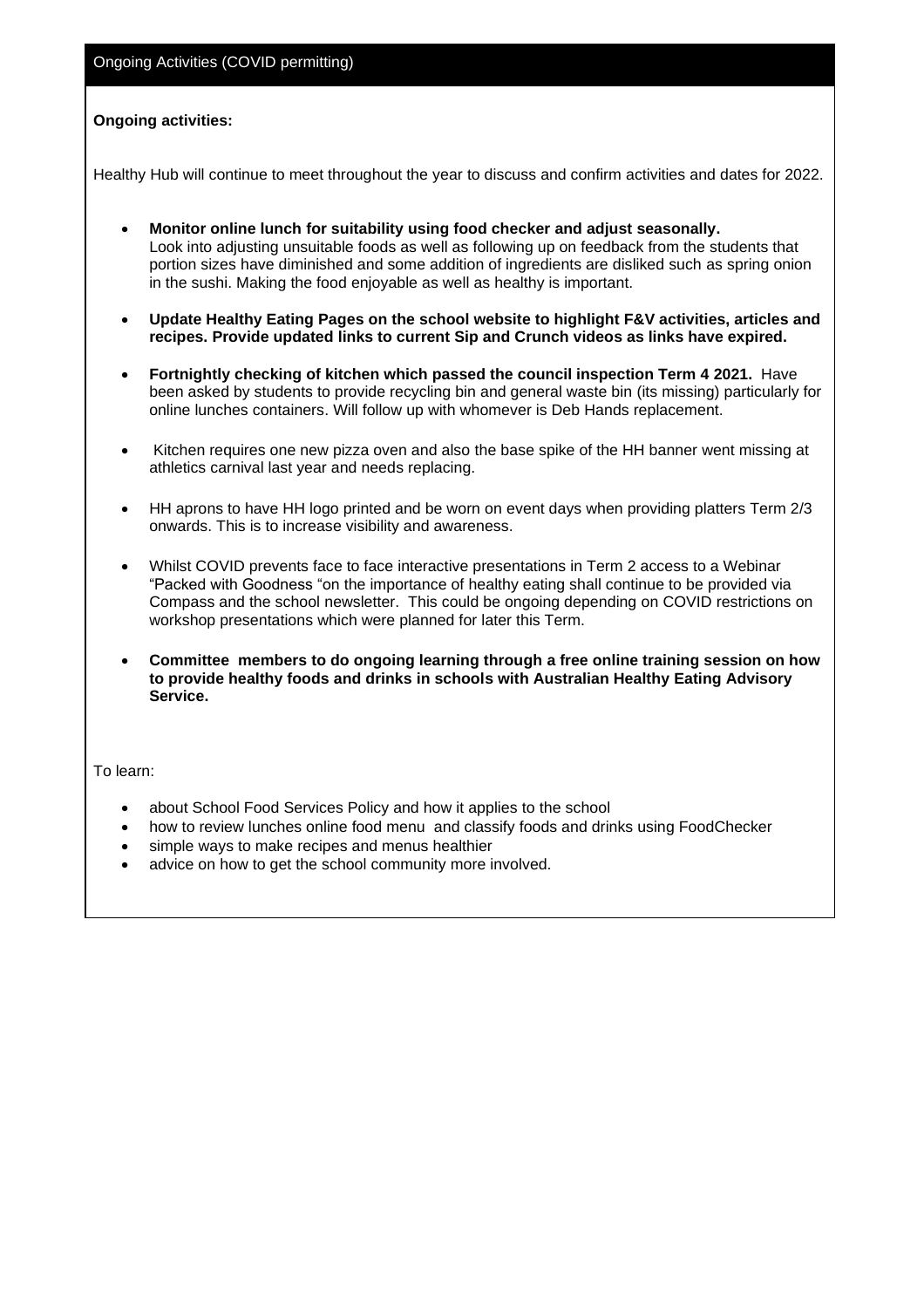## **Ongoing activities:**

Healthy Hub will continue to meet throughout the year to discuss and confirm activities and dates for 2022.

- **Monitor online lunch for suitability using food checker and adjust seasonally.** Look into adjusting unsuitable foods as well as following up on feedback from the students that portion sizes have diminished and some addition of ingredients are disliked such as spring onion in the sushi. Making the food enjoyable as well as healthy is important.
- **Update Healthy Eating Pages on the school website to highlight F&V activities, articles and recipes. Provide updated links to current Sip and Crunch videos as links have expired.**
- **Fortnightly checking of kitchen which passed the council inspection Term 4 2021.** Have been asked by students to provide recycling bin and general waste bin (its missing) particularly for online lunches containers. Will follow up with whomever is Deb Hands replacement.
- Kitchen requires one new pizza oven and also the base spike of the HH banner went missing at athletics carnival last year and needs replacing.
- HH aprons to have HH logo printed and be worn on event days when providing platters Term 2/3 onwards. This is to increase visibility and awareness.
- Whilst COVID prevents face to face interactive presentations in Term 2 access to a Webinar "Packed with Goodness "on the importance of healthy eating shall continue to be provided via Compass and the school newsletter. This could be ongoing depending on COVID restrictions on workshop presentations which were planned for later this Term.
- **Committee members to do ongoing learning through a free online training session on how to provide healthy foods and drinks in schools with Australian Healthy Eating Advisory Service.**

To learn:

- about School Food Services Policy and how it applies to the school
- how to review lunches online food menu and classify foods and drinks using FoodChecker
- simple ways to make recipes and menus healthier
- advice on how to get the school community more involved.